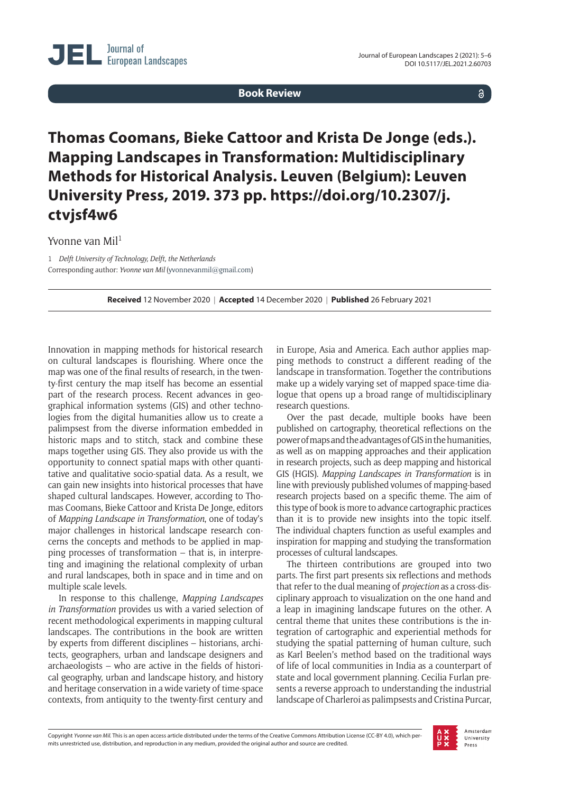**Book Review**

 $\delta$ 

## **Thomas Coomans, Bieke Cattoor and Krista De Jonge (eds.). Mapping Landscapes in Transformation: Multidisciplinary Methods for Historical Analysis. Leuven (Belgium): Leuven University Press, 2019. 373 pp. [https://doi.org/10.2307/j.](https://doi.org/10.2307/j.ctvjsf4w6) [ctvjsf4w6](https://doi.org/10.2307/j.ctvjsf4w6)**

Yvonne van Mil<sup>1</sup>

1 *Delft University of Technology, Delft, the Netherlands* Corresponding author: *Yvonne van Mil* [\(yvonnevanmil@gmail.com](mailto:yvonnevanmil@gmail.com))

**Received** 12 November 2020 | **Accepted** 14 December 2020 | **Published** 26 February 2021

Innovation in mapping methods for historical research on cultural landscapes is flourishing. Where once the map was one of the final results of research, in the twenty-first century the map itself has become an essential part of the research process. Recent advances in geographical information systems (GIS) and other technologies from the digital humanities allow us to create a palimpsest from the diverse information embedded in historic maps and to stitch, stack and combine these maps together using GIS. They also provide us with the opportunity to connect spatial maps with other quantitative and qualitative socio-spatial data. As a result, we can gain new insights into historical processes that have shaped cultural landscapes. However, according to Thomas Coomans, Bieke Cattoor and Krista De Jonge, editors of *Mapping Landscape in Transformation*, one of today's major challenges in historical landscape research concerns the concepts and methods to be applied in mapping processes of transformation – that is, in interpreting and imagining the relational complexity of urban and rural landscapes, both in space and in time and on multiple scale levels.

In response to this challenge, *Mapping Landscapes in Transformation* provides us with a varied selection of recent methodological experiments in mapping cultural landscapes. The contributions in the book are written by experts from different disciplines – historians, architects, geographers, urban and landscape designers and archaeologists – who are active in the fields of historical geography, urban and landscape history, and history and heritage conservation in a wide variety of time-space contexts, from antiquity to the twenty-first century and

in Europe, Asia and America. Each author applies mapping methods to construct a different reading of the landscape in transformation. Together the contributions make up a widely varying set of mapped space-time dialogue that opens up a broad range of multidisciplinary research questions.

Over the past decade, multiple books have been published on cartography, theoretical reflections on the power of maps and the advantages of GIS in the humanities, as well as on mapping approaches and their application in research projects, such as deep mapping and historical GIS (HGIS). *Mapping Landscapes in Transformation* is in line with previously published volumes of mapping-based research projects based on a specific theme. The aim of this type of book is more to advance cartographic practices than it is to provide new insights into the topic itself. The individual chapters function as useful examples and inspiration for mapping and studying the transformation processes of cultural landscapes.

The thirteen contributions are grouped into two parts. The first part presents six reflections and methods that refer to the dual meaning of *projection* as a cross-disciplinary approach to visualization on the one hand and a leap in imagining landscape futures on the other. A central theme that unites these contributions is the integration of cartographic and experiential methods for studying the spatial patterning of human culture, such as Karl Beelen's method based on the traditional ways of life of local communities in India as a counterpart of state and local government planning. Cecilia Furlan presents a reverse approach to understanding the industrial landscape of Charleroi as palimpsests and Cristina Purcar,

Copyright *Yvonne van Mil.* This is an open access article distributed under the terms of the Creative Commons Attribution License (CC-BY 4.0), which permits unrestricted use, distribution, and reproduction in any medium, provided the original author and source are credited.